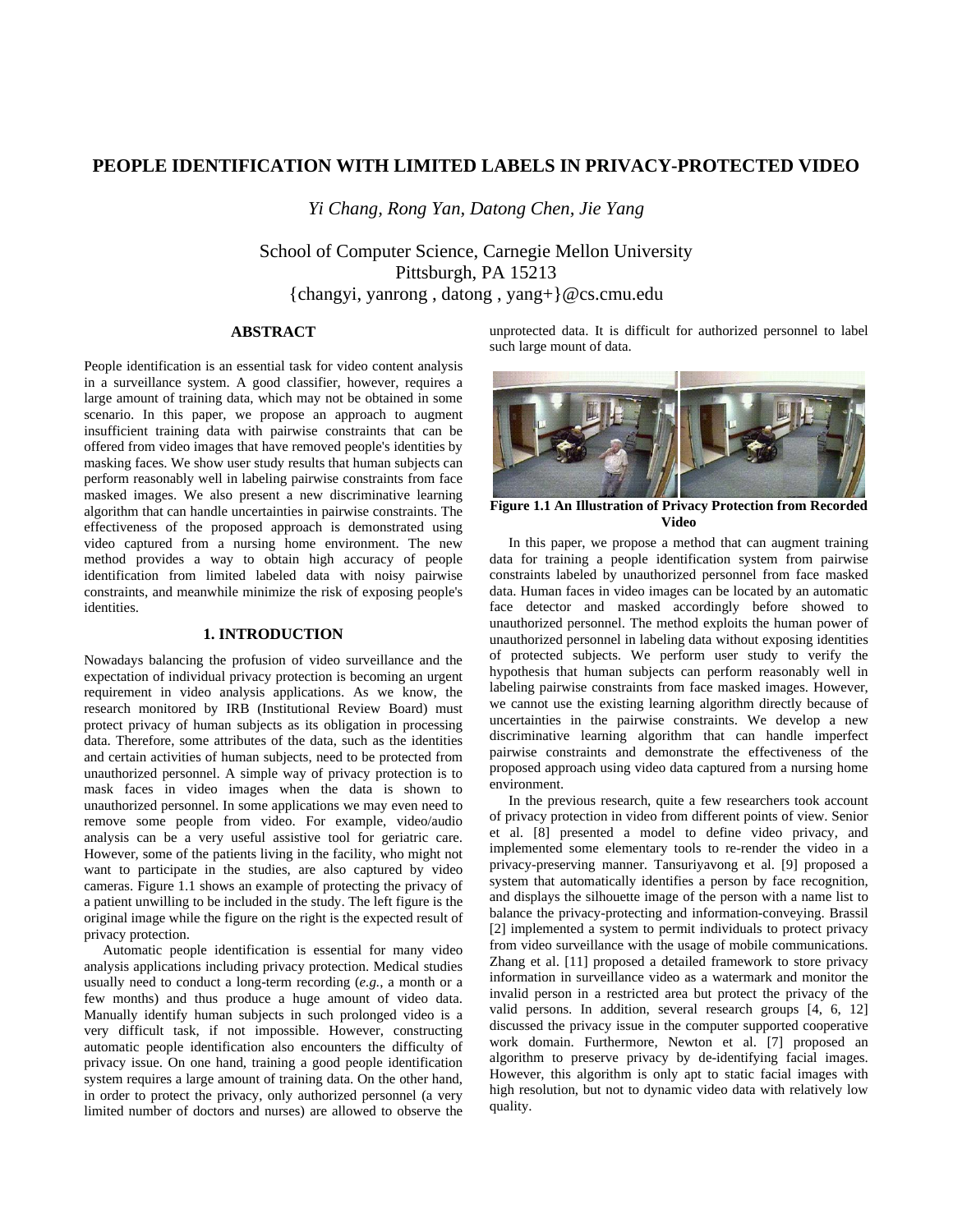# **PEOPLE IDENTIFICATION WITH LIMITED LABELS IN PRIVACY-PROTECTED VIDEO**

*Yi Chang, Rong Yan, Datong Chen, Jie Yang* 

School of Computer Science, Carnegie Mellon University Pittsburgh, PA 15213 {changyi, yanrong , datong , yang+}@cs.cmu.edu

### **ABSTRACT**

People identification is an essential task for video content analysis in a surveillance system. A good classifier, however, requires a large amount of training data, which may not be obtained in some scenario. In this paper, we propose an approach to augment insufficient training data with pairwise constraints that can be offered from video images that have removed people's identities by masking faces. We show user study results that human subjects can perform reasonably well in labeling pairwise constraints from face masked images. We also present a new discriminative learning algorithm that can handle uncertainties in pairwise constraints. The effectiveness of the proposed approach is demonstrated using video captured from a nursing home environment. The new method provides a way to obtain high accuracy of people identification from limited labeled data with noisy pairwise constraints, and meanwhile minimize the risk of exposing people's identities.

#### **1. INTRODUCTION**

Nowadays balancing the profusion of video surveillance and the expectation of individual privacy protection is becoming an urgent requirement in video analysis applications. As we know, the research monitored by IRB (Institutional Review Board) must protect privacy of human subjects as its obligation in processing data. Therefore, some attributes of the data, such as the identities and certain activities of human subjects, need to be protected from unauthorized personnel. A simple way of privacy protection is to mask faces in video images when the data is shown to unauthorized personnel. In some applications we may even need to remove some people from video. For example, video/audio analysis can be a very useful assistive tool for geriatric care. However, some of the patients living in the facility, who might not want to participate in the studies, are also captured by video cameras. Figure 1.1 shows an example of protecting the privacy of a patient unwilling to be included in the study. The left figure is the original image while the figure on the right is the expected result of privacy protection.

Automatic people identification is essential for many video analysis applications including privacy protection. Medical studies usually need to conduct a long-term recording (*e.g.*, a month or a few months) and thus produce a huge amount of video data. Manually identify human subjects in such prolonged video is a very difficult task, if not impossible. However, constructing automatic people identification also encounters the difficulty of privacy issue. On one hand, training a good people identification system requires a large amount of training data. On the other hand, in order to protect the privacy, only authorized personnel (a very limited number of doctors and nurses) are allowed to observe the

unprotected data. It is difficult for authorized personnel to label such large mount of data.



**Figure 1.1 An Illustration of Privacy Protection from Recorded Video**

In this paper, we propose a method that can augment training data for training a people identification system from pairwise constraints labeled by unauthorized personnel from face masked data. Human faces in video images can be located by an automatic face detector and masked accordingly before showed to unauthorized personnel. The method exploits the human power of unauthorized personnel in labeling data without exposing identities of protected subjects. We perform user study to verify the hypothesis that human subjects can perform reasonably well in labeling pairwise constraints from face masked images. However, we cannot use the existing learning algorithm directly because of uncertainties in the pairwise constraints. We develop a new discriminative learning algorithm that can handle imperfect pairwise constraints and demonstrate the effectiveness of the proposed approach using video data captured from a nursing home environment.

In the previous research, quite a few researchers took account of privacy protection in video from different points of view. Senior et al. [8] presented a model to define video privacy, and implemented some elementary tools to re-render the video in a privacy-preserving manner. Tansuriyavong et al. [9] proposed a system that automatically identifies a person by face recognition, and displays the silhouette image of the person with a name list to balance the privacy-protecting and information-conveying. Brassil [2] implemented a system to permit individuals to protect privacy from video surveillance with the usage of mobile communications. Zhang et al. [11] proposed a detailed framework to store privacy information in surveillance video as a watermark and monitor the invalid person in a restricted area but protect the privacy of the valid persons. In addition, several research groups [4, 6, 12] discussed the privacy issue in the computer supported cooperative work domain. Furthermore, Newton et al. [7] proposed an algorithm to preserve privacy by de-identifying facial images. However, this algorithm is only apt to static facial images with high resolution, but not to dynamic video data with relatively low quality.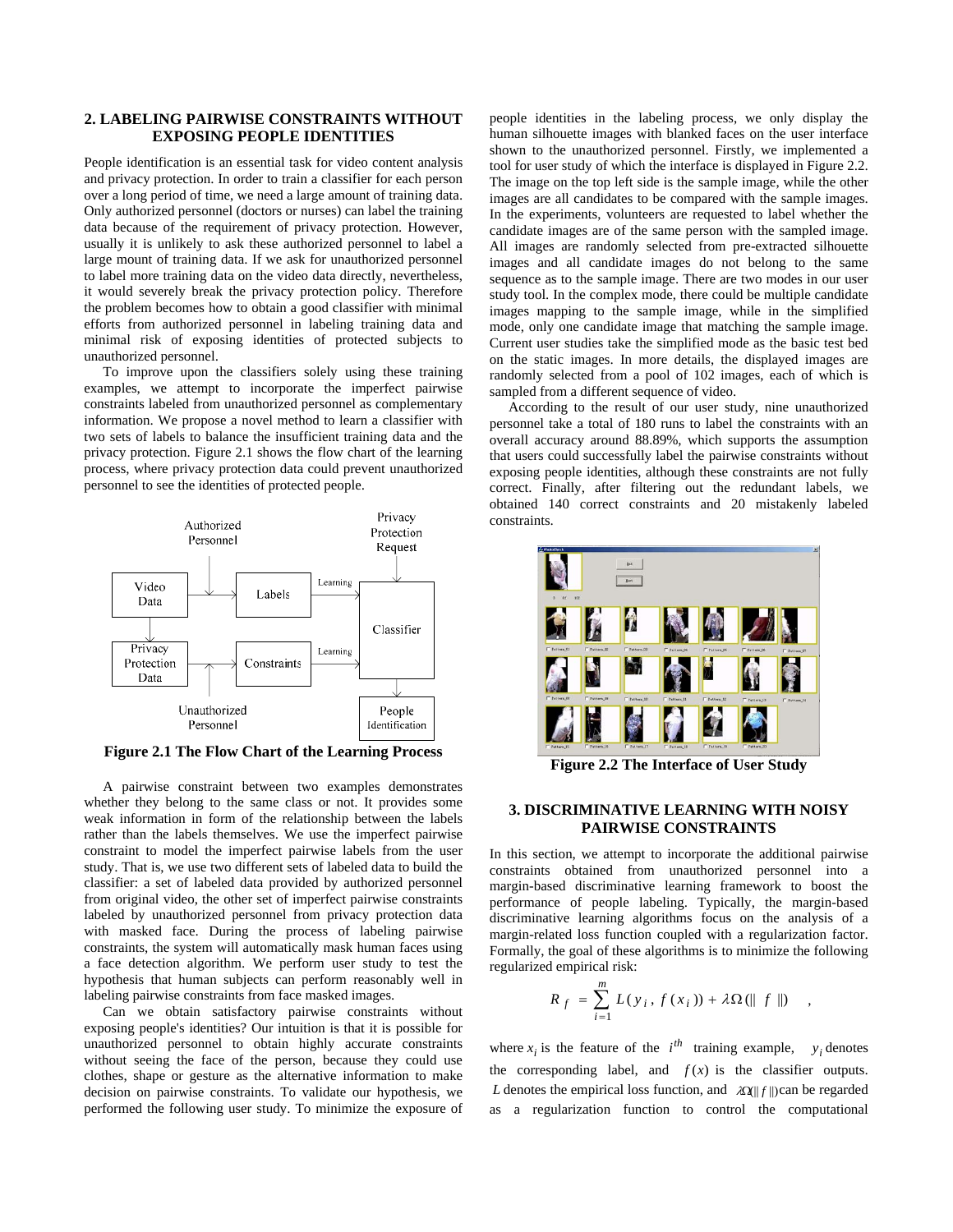## **2. LABELING PAIRWISE CONSTRAINTS WITHOUT EXPOSING PEOPLE IDENTITIES**

People identification is an essential task for video content analysis and privacy protection. In order to train a classifier for each person over a long period of time, we need a large amount of training data. Only authorized personnel (doctors or nurses) can label the training data because of the requirement of privacy protection. However, usually it is unlikely to ask these authorized personnel to label a large mount of training data. If we ask for unauthorized personnel to label more training data on the video data directly, nevertheless, it would severely break the privacy protection policy. Therefore the problem becomes how to obtain a good classifier with minimal efforts from authorized personnel in labeling training data and minimal risk of exposing identities of protected subjects to unauthorized personnel.

To improve upon the classifiers solely using these training examples, we attempt to incorporate the imperfect pairwise constraints labeled from unauthorized personnel as complementary information. We propose a novel method to learn a classifier with two sets of labels to balance the insufficient training data and the privacy protection. Figure 2.1 shows the flow chart of the learning process, where privacy protection data could prevent unauthorized personnel to see the identities of protected people.



**Figure 2.1 The Flow Chart of the Learning Process** 

A pairwise constraint between two examples demonstrates whether they belong to the same class or not. It provides some weak information in form of the relationship between the labels rather than the labels themselves. We use the imperfect pairwise constraint to model the imperfect pairwise labels from the user study. That is, we use two different sets of labeled data to build the classifier: a set of labeled data provided by authorized personnel from original video, the other set of imperfect pairwise constraints labeled by unauthorized personnel from privacy protection data with masked face. During the process of labeling pairwise constraints, the system will automatically mask human faces using a face detection algorithm. We perform user study to test the hypothesis that human subjects can perform reasonably well in labeling pairwise constraints from face masked images.

Can we obtain satisfactory pairwise constraints without exposing people's identities? Our intuition is that it is possible for unauthorized personnel to obtain highly accurate constraints without seeing the face of the person, because they could use clothes, shape or gesture as the alternative information to make decision on pairwise constraints. To validate our hypothesis, we performed the following user study. To minimize the exposure of people identities in the labeling process, we only display the human silhouette images with blanked faces on the user interface shown to the unauthorized personnel. Firstly, we implemented a tool for user study of which the interface is displayed in Figure 2.2. The image on the top left side is the sample image, while the other images are all candidates to be compared with the sample images. In the experiments, volunteers are requested to label whether the candidate images are of the same person with the sampled image. All images are randomly selected from pre-extracted silhouette images and all candidate images do not belong to the same sequence as to the sample image. There are two modes in our user study tool. In the complex mode, there could be multiple candidate images mapping to the sample image, while in the simplified mode, only one candidate image that matching the sample image. Current user studies take the simplified mode as the basic test bed on the static images. In more details, the displayed images are randomly selected from a pool of 102 images, each of which is sampled from a different sequence of video.

According to the result of our user study, nine unauthorized personnel take a total of 180 runs to label the constraints with an overall accuracy around 88.89%, which supports the assumption that users could successfully label the pairwise constraints without exposing people identities, although these constraints are not fully correct. Finally, after filtering out the redundant labels, we obtained 140 correct constraints and 20 mistakenly labeled constraints.



**Figure 2.2 The Interface of User Study** 

#### **3. DISCRIMINATIVE LEARNING WITH NOISY PAIRWISE CONSTRAINTS**

In this section, we attempt to incorporate the additional pairwise constraints obtained from unauthorized personnel into a margin-based discriminative learning framework to boost the performance of people labeling. Typically, the margin-based discriminative learning algorithms focus on the analysis of a margin-related loss function coupled with a regularization factor. Formally, the goal of these algorithms is to minimize the following regularized empirical risk:

$$
R_f = \sum_{i=1}^m L(y_i, f(x_i)) + \lambda \Omega(||f||) ,
$$

where  $x_i$  is the feature of the  $i^{th}$  training example,  $y_i$  denotes the corresponding label, and  $f(x)$  is the classifier outputs. *L* denotes the empirical loss function, and  $\lambda \Omega || f ||$ )can be regarded as a regularization function to control the computational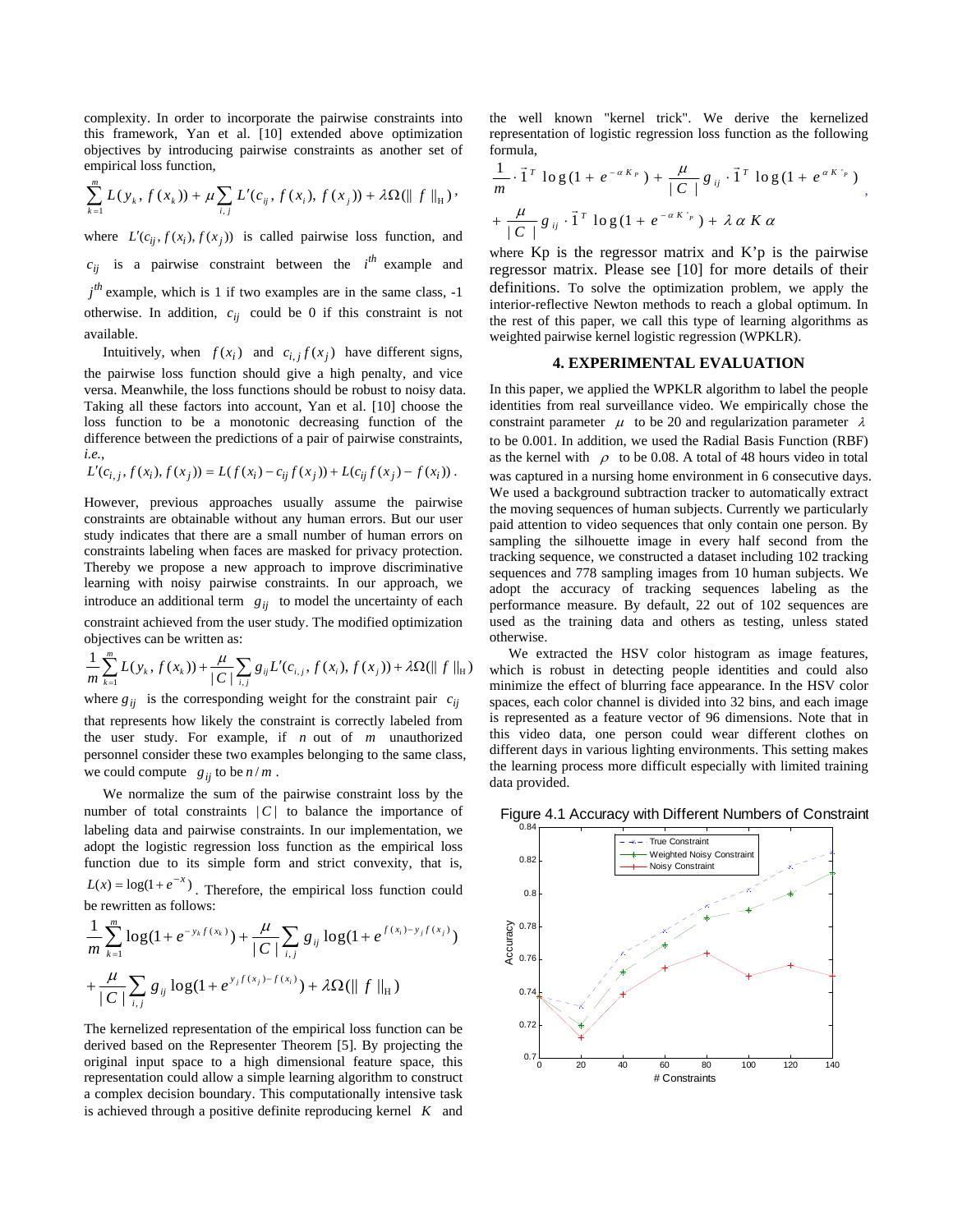complexity. In order to incorporate the pairwise constraints into this framework, Yan et al. [10] extended above optimization objectives by introducing pairwise constraints as another set of empirical loss function,

$$
\sum_{k=1}^m L(y_k, f(x_k)) + \mu \sum_{i,j} L'(c_{ij}, f(x_i), f(x_j)) + \lambda \Omega(||f||_{\mathcal{H}}),
$$

where  $L'(c_{ij}, f(x_i), f(x_j))$  is called pairwise loss function, and  $c_{ij}$  is a pairwise constraint between the  $i^{th}$  example and  $i<sup>th</sup>$  example, which is 1 if two examples are in the same class, -1 otherwise. In addition,  $c_{ij}$  could be 0 if this constraint is not available.

Intuitively, when  $f(x_i)$  and  $c_{i,j} f(x_j)$  have different signs, the pairwise loss function should give a high penalty, and vice versa. Meanwhile, the loss functions should be robust to noisy data. Taking all these factors into account, Yan et al. [10] choose the loss function to be a monotonic decreasing function of the difference between the predictions of a pair of pairwise constraints, *i.e.*,

$$
L'(c_{i,j}, f(x_i), f(x_j)) = L(f(x_i) - c_{ij}f(x_j)) + L(c_{ij}f(x_j) - f(x_i))\,.
$$

However, previous approaches usually assume the pairwise constraints are obtainable without any human errors. But our user study indicates that there are a small number of human errors on constraints labeling when faces are masked for privacy protection. Thereby we propose a new approach to improve discriminative learning with noisy pairwise constraints. In our approach, we introduce an additional term  $g_{ij}$  to model the uncertainty of each constraint achieved from the user study. The modified optimization objectives can be written as:

$$
\frac{1}{m}\sum_{k=1}^{m}L(y_k, f(x_k)) + \frac{\mu}{|C|}\sum_{i,j}g_{ij}L'(c_{i,j}, f(x_i), f(x_j)) + \lambda\Omega(||f||_{\mathcal{H}})
$$

where  $g_{ij}$  is the corresponding weight for the constraint pair  $c_{ij}$ that represents how likely the constraint is correctly labeled from the user study. For example, if *n* out of *m* unauthorized personnel consider these two examples belonging to the same class, we could compute  $g_{ii}$  to be  $n/m$ .

We normalize the sum of the pairwise constraint loss by the number of total constraints  $|C|$  to balance the importance of labeling data and pairwise constraints. In our implementation, we adopt the logistic regression loss function as the empirical loss function due to its simple form and strict convexity, that is,  $L(x) = log(1 + e^{-x})$ . Therefore, the empirical loss function could be rewritten as follows:  $\sum_{i=1}^{m} \frac{1}{2} \sigma_i (1 + e^{-y_k f(x_k)}) + \mu \sum_{i=1}^{m} \sigma_i (1 + e^{f(x_i)-y_i f(x_k)})$ 

$$
\frac{1}{m} \sum_{k=1}^{m} \log(1 + e^{-y_k f(x_k)}) + \frac{\mu}{|C|} \sum_{i,j} g_{ij} \log(1 + e^{f(x_i) - y_j f(x_j)})
$$
  
+ 
$$
\frac{\mu}{|C|} \sum_{i,j} g_{ij} \log(1 + e^{y_j f(x_j) - f(x_i)}) + \lambda \Omega(||f||_H)
$$

The kernelized representation of the empirical loss function can be derived based on the Representer Theorem [5]. By projecting the original input space to a high dimensional feature space, this representation could allow a simple learning algorithm to construct a complex decision boundary. This computationally intensive task is achieved through a positive definite reproducing kernel *K* and the well known "kernel trick". We derive the kernelized representation of logistic regression loss function as the following formula,

$$
\frac{1}{m} \cdot \vec{1}^T \log(1 + e^{-\alpha K_P}) + \frac{\mu}{|C|} g_{ij} \cdot \vec{1}^T \log(1 + e^{\alpha K'_{P}}),
$$
  
+ 
$$
\frac{\mu}{|C|} g_{ij} \cdot \vec{1}^T \log(1 + e^{-\alpha K'_{P}}) + \lambda \alpha K \alpha
$$

where Kp is the regressor matrix and K'p is the pairwise regressor matrix. Please see [10] for more details of their definitions. To solve the optimization problem, we apply the interior-reflective Newton methods to reach a global optimum. In the rest of this paper, we call this type of learning algorithms as weighted pairwise kernel logistic regression (WPKLR).

#### **4. EXPERIMENTAL EVALUATION**

In this paper, we applied the WPKLR algorithm to label the people identities from real surveillance video. We empirically chose the constraint parameter  $\mu$  to be 20 and regularization parameter  $\lambda$ to be 0.001. In addition, we used the Radial Basis Function (RBF) as the kernel with  $\rho$  to be 0.08. A total of 48 hours video in total was captured in a nursing home environment in 6 consecutive days. We used a background subtraction tracker to automatically extract the moving sequences of human subjects. Currently we particularly paid attention to video sequences that only contain one person. By sampling the silhouette image in every half second from the tracking sequence, we constructed a dataset including 102 tracking sequences and 778 sampling images from 10 human subjects. We adopt the accuracy of tracking sequences labeling as the performance measure. By default, 22 out of 102 sequences are used as the training data and others as testing, unless stated otherwise.

We extracted the HSV color histogram as image features, which is robust in detecting people identities and could also minimize the effect of blurring face appearance. In the HSV color spaces, each color channel is divided into 32 bins, and each image is represented as a feature vector of 96 dimensions. Note that in this video data, one person could wear different clothes on different days in various lighting environments. This setting makes the learning process more difficult especially with limited training data provided.

Figure 4.1 Accuracy with Different Numbers of Constraint